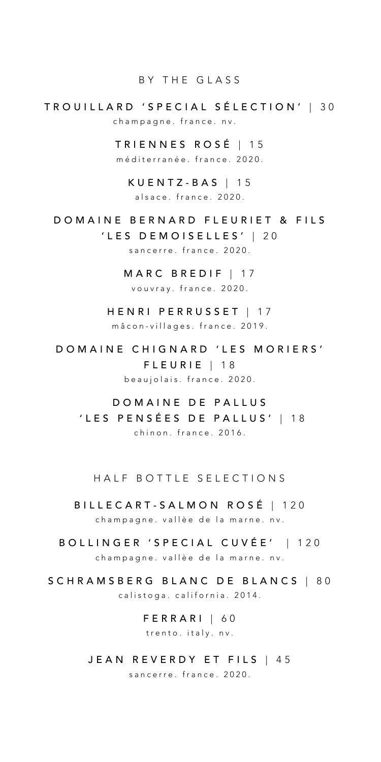#### BY THE GLASS

## TROUILLARD ' SPECIAL SÉLECTION ' | 3 0 champagne. france. nv .

TRIENNES ROSÉ | 1 5 méditerranée. france. 2020.

KUENTZ-BAS | 15 alsace . france. 2020.

DOMAINE BERNARD FLEURIET & FILS 'LES DEMOISELLES' | 20

sancerre. france. 2020.

MARC BREDIF | 17 vouvray. france. 2020.

HENRI PERRUSSET | 17 mâcon-villages. france. 2019.

DOMAINE CHIGNARD 'LES MORIERS' FLEURIE | 18 beaujolais. france. 2020.

DOMAINE DE PALLUS 'LES PENSÉES DE PALLUS' | 1 8 chinon. france. 2016 .

HALF BOTTLE SELECTIONS

BILLECART-SALMON ROSÉ | 120 champagne. vallèe de la marne. nv.

- BOLLINGER 'SPECIAL CUVÉE' | 120 champagne, vallèe de la marne, nv.
- SCHRAMSBERG BLANC DE BLANCS | 8 0 calistoga. california. 2014 .

FERRARI | 6 0 trento. italy. nv.

JEAN REVERDY ET FILS | 45 sancerre. france. 2020.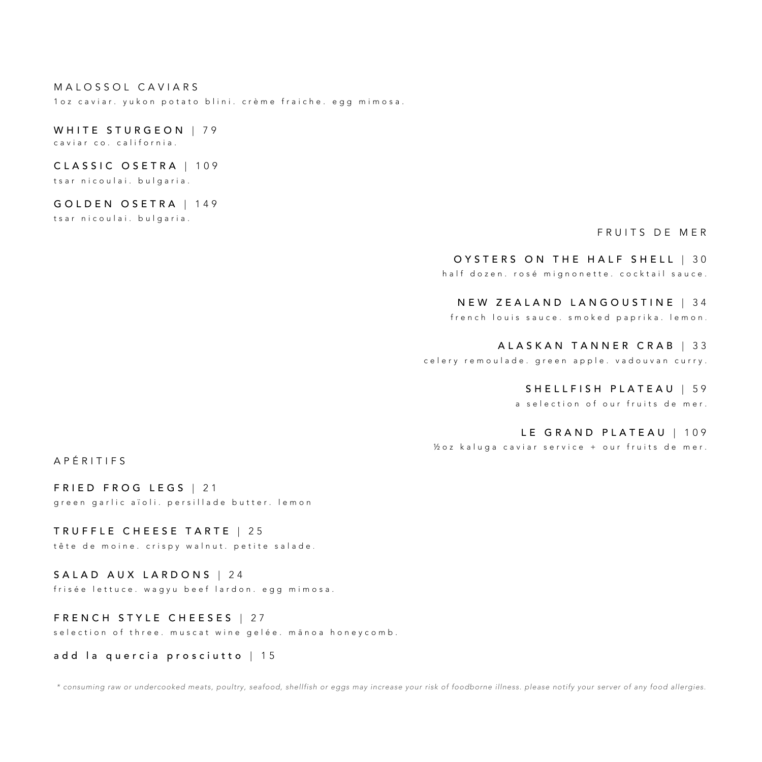#### MALOSSOL CAVIARS

1oz caviar. yukon potato blini. crème fraiche. egg mimosa.

# WHITE STURGEON | 79

caviar co. california.

## CLASSIC OSETRA | 109

tsar nicoulai. bulgaria.

### GOLDEN OSETRA | 1 4 9

tsar nicoulai. bulgaria.

## FRUITS DE MER

#### OYSTERS ON THE HALF SHELL | 30

half dozen. rosé mignonette. cocktail sauce.

## NEW ZEALAND LANGOUSTINE | 3 4

french louis sauce. smoked paprika. lemon.

#### ALASKAN TANNER CRAB | 3 3

celery remoulade. green apple. vadouvan curry.

#### SHELLFISH PLATEAU | 59

a selection of our fruits de mer .

#### LE GRAND PLATEAU | 109

½ oz kaluga caviar service + our fruits de mer.

APÉRITIF S

FRIED FROG LEGS | 21 green garlic aïoli. persillade butter. lemon

TRUFFLE CHEESE TARTE | 2 5 tête de moine. crispy walnut. petite salade.

SALAD AUX LARDONS | 24 frisée lettuce. wagyu beef lardon. egg mimosa .

FRENCH STYLE CHEESES | 27 selection of three. muscat wine gelée. manoa honey comb.

add la quercia prosciutto | 15

*\* consuming raw or undercooked meats, poultry, seafood, shellfish or eggs may increase your risk of foodborne illness. please notify your server of any food allergies.*